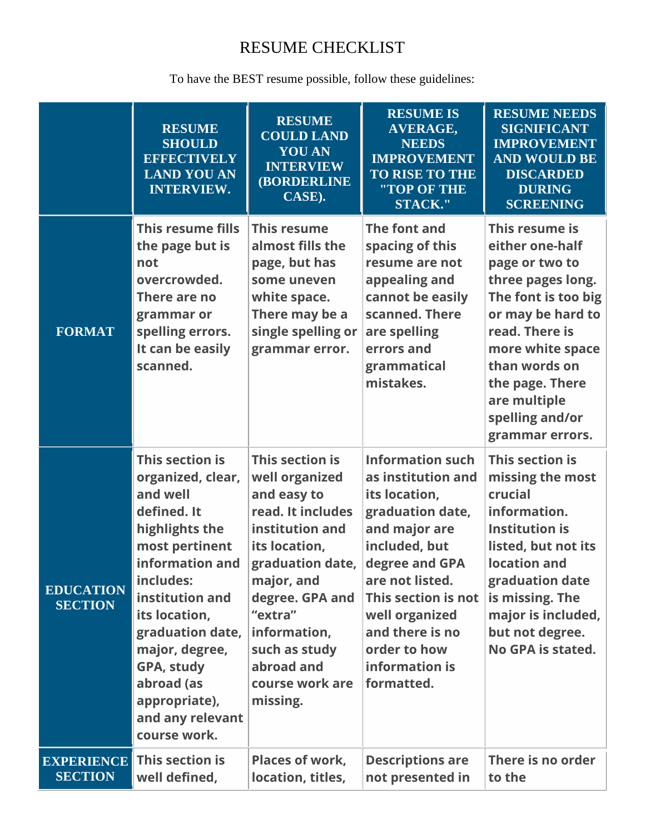## RESUME CHECKLIST

To have the BEST resume possible, follow these guidelines:

|                                     | <b>RESUME</b><br><b>SHOULD</b><br><b>EFFECTIVELY</b><br><b>LAND YOU AN</b><br><b>INTERVIEW.</b>                                                                                                                                                                                                | <b>RESUME</b><br><b>COULD LAND</b><br><b>YOU AN</b><br><b>INTERVIEW</b><br><b>(BORDERLINE)</b><br>CASE).                                                                                                                                                | <b>RESUME IS</b><br><b>AVERAGE,</b><br><b>NEEDS</b><br><b>IMPROVEMENT</b><br><b>TO RISE TO THE</b><br>"TOP OF THE<br><b>STACK."</b>                                                                                                                                   | <b>RESUME NEEDS</b><br><b>SIGNIFICANT</b><br><b>IMPROVEMENT</b><br><b>AND WOULD BE</b><br><b>DISCARDED</b><br><b>DURING</b><br><b>SCREENING</b>                                                                                                      |
|-------------------------------------|------------------------------------------------------------------------------------------------------------------------------------------------------------------------------------------------------------------------------------------------------------------------------------------------|---------------------------------------------------------------------------------------------------------------------------------------------------------------------------------------------------------------------------------------------------------|-----------------------------------------------------------------------------------------------------------------------------------------------------------------------------------------------------------------------------------------------------------------------|------------------------------------------------------------------------------------------------------------------------------------------------------------------------------------------------------------------------------------------------------|
| <b>FORMAT</b>                       | This resume fills<br>the page but is<br>not<br>overcrowded.<br>There are no<br>grammar or<br>spelling errors.<br>It can be easily<br>scanned.                                                                                                                                                  | <b>This resume</b><br>almost fills the<br>page, but has<br>some uneven<br>white space.<br>There may be a<br>single spelling or<br>grammar error.                                                                                                        | The font and<br>spacing of this<br>resume are not<br>appealing and<br>cannot be easily<br>scanned. There<br>are spelling<br>errors and<br>grammatical<br>mistakes.                                                                                                    | This resume is<br>either one-half<br>page or two to<br>three pages long.<br>The font is too big<br>or may be hard to<br>read. There is<br>more white space<br>than words on<br>the page. There<br>are multiple<br>spelling and/or<br>grammar errors. |
| <b>EDUCATION</b><br><b>SECTION</b>  | This section is<br>organized, clear,<br>and well<br>defined. It<br>highlights the<br>most pertinent<br>information and<br>includes:<br>institution and<br>its location,<br>graduation date,<br>major, degree,<br>GPA, study<br>abroad (as<br>appropriate),<br>and any relevant<br>course work. | This section is<br>well organized<br>and easy to<br>read. It includes<br>institution and<br>its location,<br>graduation date,<br>major, and<br>degree. GPA and<br>"extra"<br>information,<br>such as study<br>abroad and<br>course work are<br>missing. | <b>Information such</b><br>as institution and<br>its location,<br>graduation date,<br>and major are<br>included, but<br>degree and GPA<br>are not listed.<br>This section is not<br>well organized<br>and there is no<br>order to how<br>information is<br>formatted. | This section is<br>missing the most<br>crucial<br>information.<br><b>Institution is</b><br>listed, but not its<br>location and<br>graduation date<br>is missing. The<br>major is included,<br>but not degree.<br>No GPA is stated.                   |
| <b>EXPERIENCE</b><br><b>SECTION</b> | This section is<br>well defined,                                                                                                                                                                                                                                                               | Places of work,<br>location, titles,                                                                                                                                                                                                                    | <b>Descriptions are</b><br>not presented in                                                                                                                                                                                                                           | There is no order<br>to the                                                                                                                                                                                                                          |